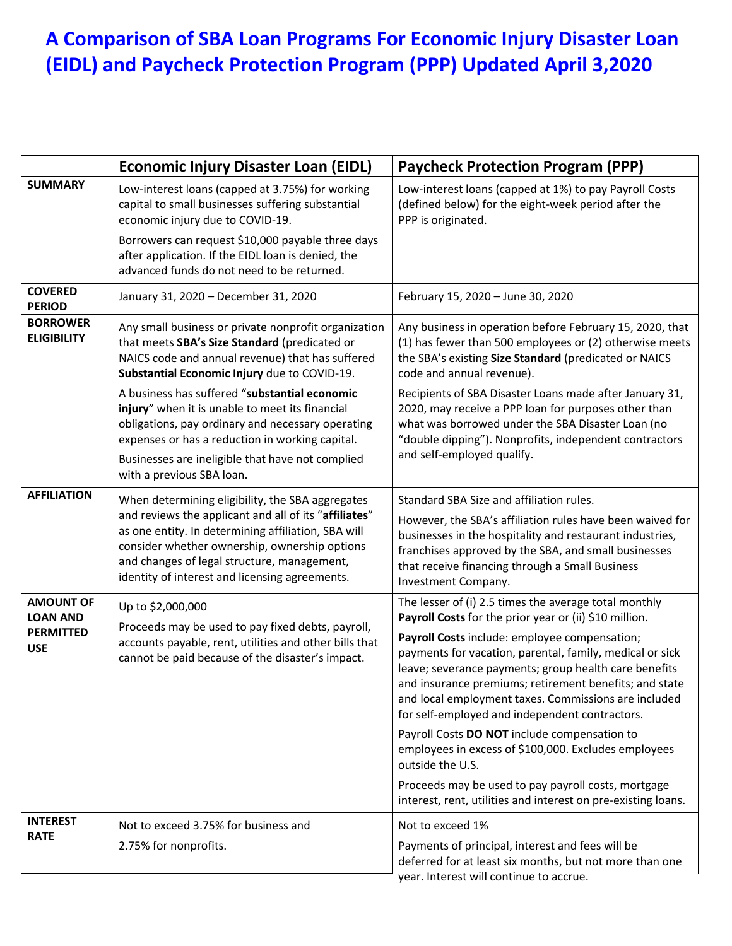## **A Comparison of SBA Loan Programs For Economic Injury Disaster Loan (EIDL) and Paycheck Protection Program (PPP) Updated April 3,2020**

|                                                                       | <b>Economic Injury Disaster Loan (EIDL)</b>                                                                                                                                                                                                                                                                        | <b>Paycheck Protection Program (PPP)</b>                                                                                                                                                                                                                                                                                               |
|-----------------------------------------------------------------------|--------------------------------------------------------------------------------------------------------------------------------------------------------------------------------------------------------------------------------------------------------------------------------------------------------------------|----------------------------------------------------------------------------------------------------------------------------------------------------------------------------------------------------------------------------------------------------------------------------------------------------------------------------------------|
| <b>SUMMARY</b>                                                        | Low-interest loans (capped at 3.75%) for working<br>capital to small businesses suffering substantial<br>economic injury due to COVID-19.                                                                                                                                                                          | Low-interest loans (capped at 1%) to pay Payroll Costs<br>(defined below) for the eight-week period after the<br>PPP is originated.                                                                                                                                                                                                    |
|                                                                       | Borrowers can request \$10,000 payable three days<br>after application. If the EIDL loan is denied, the<br>advanced funds do not need to be returned.                                                                                                                                                              |                                                                                                                                                                                                                                                                                                                                        |
| <b>COVERED</b><br><b>PERIOD</b>                                       | January 31, 2020 - December 31, 2020                                                                                                                                                                                                                                                                               | February 15, 2020 - June 30, 2020                                                                                                                                                                                                                                                                                                      |
| <b>BORROWER</b><br><b>ELIGIBILITY</b>                                 | Any small business or private nonprofit organization<br>that meets SBA's Size Standard (predicated or<br>NAICS code and annual revenue) that has suffered<br>Substantial Economic Injury due to COVID-19.                                                                                                          | Any business in operation before February 15, 2020, that<br>(1) has fewer than 500 employees or (2) otherwise meets<br>the SBA's existing Size Standard (predicated or NAICS<br>code and annual revenue).                                                                                                                              |
|                                                                       | A business has suffered "substantial economic<br>injury" when it is unable to meet its financial<br>obligations, pay ordinary and necessary operating<br>expenses or has a reduction in working capital.                                                                                                           | Recipients of SBA Disaster Loans made after January 31,<br>2020, may receive a PPP loan for purposes other than<br>what was borrowed under the SBA Disaster Loan (no<br>"double dipping"). Nonprofits, independent contractors                                                                                                         |
|                                                                       | Businesses are ineligible that have not complied<br>with a previous SBA loan.                                                                                                                                                                                                                                      | and self-employed qualify.                                                                                                                                                                                                                                                                                                             |
| <b>AFFILIATION</b>                                                    | When determining eligibility, the SBA aggregates<br>and reviews the applicant and all of its "affiliates"<br>as one entity. In determining affiliation, SBA will<br>consider whether ownership, ownership options<br>and changes of legal structure, management,<br>identity of interest and licensing agreements. | Standard SBA Size and affiliation rules.<br>However, the SBA's affiliation rules have been waived for<br>businesses in the hospitality and restaurant industries,<br>franchises approved by the SBA, and small businesses<br>that receive financing through a Small Business<br>Investment Company.                                    |
| <b>AMOUNT OF</b><br><b>LOAN AND</b><br><b>PERMITTED</b><br><b>USE</b> | Up to \$2,000,000<br>Proceeds may be used to pay fixed debts, payroll,<br>accounts payable, rent, utilities and other bills that<br>cannot be paid because of the disaster's impact.                                                                                                                               | The lesser of (i) 2.5 times the average total monthly<br>Payroll Costs for the prior year or (ii) \$10 million.                                                                                                                                                                                                                        |
|                                                                       |                                                                                                                                                                                                                                                                                                                    | Payroll Costs include: employee compensation;<br>payments for vacation, parental, family, medical or sick<br>leave; severance payments; group health care benefits<br>and insurance premiums; retirement benefits; and state<br>and local employment taxes. Commissions are included<br>for self-employed and independent contractors. |
|                                                                       |                                                                                                                                                                                                                                                                                                                    | Payroll Costs DO NOT include compensation to<br>employees in excess of \$100,000. Excludes employees<br>outside the U.S.                                                                                                                                                                                                               |
|                                                                       |                                                                                                                                                                                                                                                                                                                    | Proceeds may be used to pay payroll costs, mortgage<br>interest, rent, utilities and interest on pre-existing loans.                                                                                                                                                                                                                   |
| <b>INTEREST</b><br><b>RATE</b>                                        | Not to exceed 3.75% for business and                                                                                                                                                                                                                                                                               | Not to exceed 1%                                                                                                                                                                                                                                                                                                                       |
|                                                                       | 2.75% for nonprofits.                                                                                                                                                                                                                                                                                              | Payments of principal, interest and fees will be<br>deferred for at least six months, but not more than one<br>year. Interest will continue to accrue.                                                                                                                                                                                 |